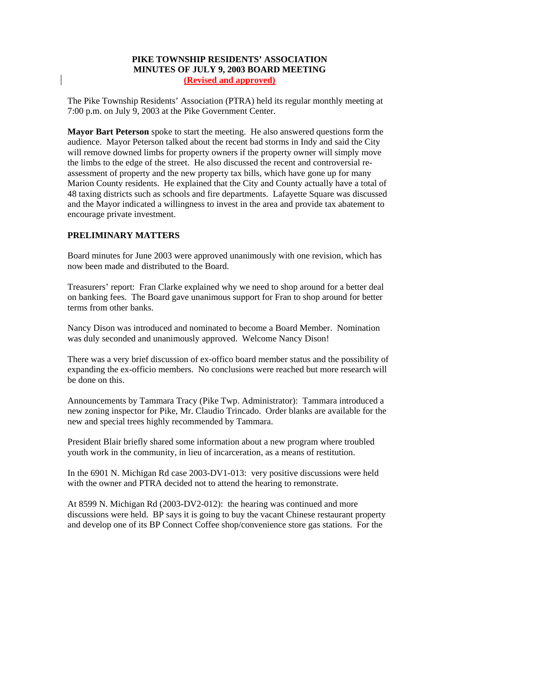## **PIKE TOWNSHIP RESIDENTS' ASSOCIATION MINUTES OF JULY 9, 2003 BOARD MEETING (Revised and approved)**

The Pike Township Residents' Association (PTRA) held its regular monthly meeting at 7:00 p.m. on July 9, 2003 at the Pike Government Center.

**Mayor Bart Peterson** spoke to start the meeting. He also answered questions form the audience. Mayor Peterson talked about the recent bad storms in Indy and said the City will remove downed limbs for property owners if the property owner will simply move the limbs to the edge of the street. He also discussed the recent and controversial reassessment of property and the new property tax bills, which have gone up for many Marion County residents. He explained that the City and County actually have a total of 48 taxing districts such as schools and fire departments. Lafayette Square was discussed and the Mayor indicated a willingness to invest in the area and provide tax abatement to encourage private investment.

## **PRELIMINARY MATTERS**

Board minutes for June 2003 were approved unanimously with one revision, which has now been made and distributed to the Board.

Treasurers' report: Fran Clarke explained why we need to shop around for a better deal on banking fees. The Board gave unanimous support for Fran to shop around for better terms from other banks.

Nancy Dison was introduced and nominated to become a Board Member. Nomination was duly seconded and unanimously approved. Welcome Nancy Dison!

There was a very brief discussion of ex-offico board member status and the possibility of expanding the ex-officio members. No conclusions were reached but more research will be done on this.

Announcements by Tammara Tracy (Pike Twp. Administrator): Tammara introduced a new zoning inspector for Pike, Mr. Claudio Trincado. Order blanks are available for the new and special trees highly recommended by Tammara.

President Blair briefly shared some information about a new program where troubled youth work in the community, in lieu of incarceration, as a means of restitution.

In the 6901 N. Michigan Rd case 2003-DV1-013: very positive discussions were held with the owner and PTRA decided not to attend the hearing to remonstrate.

At 8599 N. Michigan Rd (2003-DV2-012): the hearing was continued and more discussions were held. BP says it is going to buy the vacant Chinese restaurant property and develop one of its BP Connect Coffee shop/convenience store gas stations. For the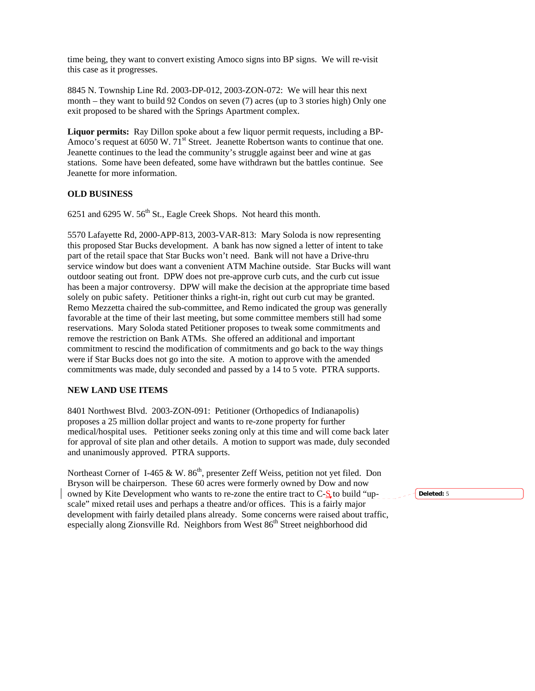time being, they want to convert existing Amoco signs into BP signs. We will re-visit this case as it progresses.

8845 N. Township Line Rd. 2003-DP-012, 2003-ZON-072: We will hear this next month – they want to build 92 Condos on seven (7) acres (up to 3 stories high) Only one exit proposed to be shared with the Springs Apartment complex.

**Liquor permits:** Ray Dillon spoke about a few liquor permit requests, including a BP-Amoco's request at  $6050 \text{ W}$ .  $71^{\text{st}}$  Street. Jeanette Robertson wants to continue that one. Jeanette continues to the lead the community's struggle against beer and wine at gas stations. Some have been defeated, some have withdrawn but the battles continue. See Jeanette for more information.

## **OLD BUSINESS**

6251 and 6295 W.  $56<sup>th</sup>$  St., Eagle Creek Shops. Not heard this month.

5570 Lafayette Rd, 2000-APP-813, 2003-VAR-813: Mary Soloda is now representing this proposed Star Bucks development. A bank has now signed a letter of intent to take part of the retail space that Star Bucks won't need. Bank will not have a Drive-thru service window but does want a convenient ATM Machine outside. Star Bucks will want outdoor seating out front. DPW does not pre-approve curb cuts, and the curb cut issue has been a major controversy. DPW will make the decision at the appropriate time based solely on pubic safety. Petitioner thinks a right-in, right out curb cut may be granted. Remo Mezzetta chaired the sub-committee, and Remo indicated the group was generally favorable at the time of their last meeting, but some committee members still had some reservations. Mary Soloda stated Petitioner proposes to tweak some commitments and remove the restriction on Bank ATMs. She offered an additional and important commitment to rescind the modification of commitments and go back to the way things were if Star Bucks does not go into the site. A motion to approve with the amended commitments was made, duly seconded and passed by a 14 to 5 vote. PTRA supports.

## **NEW LAND USE ITEMS**

8401 Northwest Blvd. 2003-ZON-091: Petitioner (Orthopedics of Indianapolis) proposes a 25 million dollar project and wants to re-zone property for further medical/hospital uses. Petitioner seeks zoning only at this time and will come back later for approval of site plan and other details. A motion to support was made, duly seconded and unanimously approved. PTRA supports.

Northeast Corner of I-465 & W.  $86<sup>th</sup>$ , presenter Zeff Weiss, petition not yet filed. Don Bryson will be chairperson. These 60 acres were formerly owned by Dow and now owned by Kite Development who wants to re-zone the entire tract to C- $\mathbf{\mathcal{S}}$  to build "upscale" mixed retail uses and perhaps a theatre and/or offices. This is a fairly major development with fairly detailed plans already. Some concerns were raised about traffic, especially along Zionsville Rd. Neighbors from West 86<sup>th</sup> Street neighborhood did

**Deleted:** 5